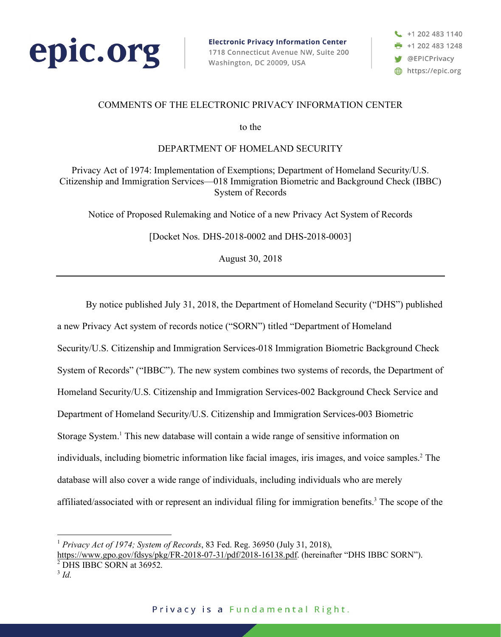

**Electronic Privacy Information Center** 1718 Connecticut Avenue NW, Suite 200 Washington, DC 20009, USA

 $+12024831140$  $+12024831248$ **S** @EPICPrivacy https://epic.org

## COMMENTS OF THE ELECTRONIC PRIVACY INFORMATION CENTER

to the

### DEPARTMENT OF HOMELAND SECURITY

Privacy Act of 1974: Implementation of Exemptions; Department of Homeland Security/U.S. Citizenship and Immigration Services—018 Immigration Biometric and Background Check (IBBC) System of Records

Notice of Proposed Rulemaking and Notice of a new Privacy Act System of Records

[Docket Nos. DHS-2018-0002 and DHS-2018-0003]

August 30, 2018

By notice published July 31, 2018, the Department of Homeland Security ("DHS") published a new Privacy Act system of records notice ("SORN") titled "Department of Homeland Security/U.S. Citizenship and Immigration Services-018 Immigration Biometric Background Check System of Records" ("IBBC"). The new system combines two systems of records, the Department of Homeland Security/U.S. Citizenship and Immigration Services-002 Background Check Service and Department of Homeland Security/U.S. Citizenship and Immigration Services-003 Biometric Storage System.<sup>1</sup> This new database will contain a wide range of sensitive information on individuals, including biometric information like facial images, iris images, and voice samples. <sup>2</sup> The database will also cover a wide range of individuals, including individuals who are merely affiliated/associated with or represent an individual filing for immigration benefits. <sup>3</sup> The scope of the

 <sup>1</sup> *Privacy Act of 1974; System of Records*, 83 Fed. Reg. 36950 (July 31, 2018),

https://www.gpo.gov/fdsys/pkg/FR-2018-07-31/pdf/2018-16138.pdf. (hereinafter "DHS IBBC SORN").

<sup>&</sup>lt;sup>2</sup> DHS IBBC SORN at 36952.

<sup>3</sup> *Id.*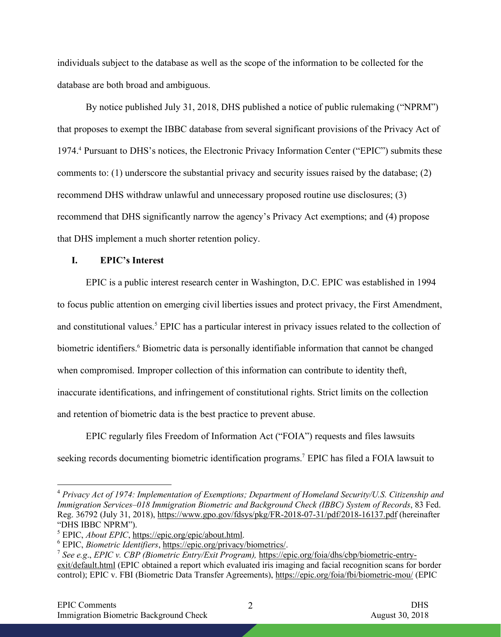individuals subject to the database as well as the scope of the information to be collected for the database are both broad and ambiguous.

By notice published July 31, 2018, DHS published a notice of public rulemaking ("NPRM") that proposes to exempt the IBBC database from several significant provisions of the Privacy Act of 1974.4 Pursuant to DHS's notices, the Electronic Privacy Information Center ("EPIC") submits these comments to: (1) underscore the substantial privacy and security issues raised by the database; (2) recommend DHS withdraw unlawful and unnecessary proposed routine use disclosures; (3) recommend that DHS significantly narrow the agency's Privacy Act exemptions; and (4) propose that DHS implement a much shorter retention policy.

### **I. EPIC's Interest**

EPIC is a public interest research center in Washington, D.C. EPIC was established in 1994 to focus public attention on emerging civil liberties issues and protect privacy, the First Amendment, and constitutional values.<sup>5</sup> EPIC has a particular interest in privacy issues related to the collection of biometric identifiers. <sup>6</sup> Biometric data is personally identifiable information that cannot be changed when compromised. Improper collection of this information can contribute to identity theft, inaccurate identifications, and infringement of constitutional rights. Strict limits on the collection and retention of biometric data is the best practice to prevent abuse.

EPIC regularly files Freedom of Information Act ("FOIA") requests and files lawsuits seeking records documenting biometric identification programs.<sup>7</sup> EPIC has filed a FOIA lawsuit to

 4 *Privacy Act of 1974: Implementation of Exemptions; Department of Homeland Security/U.S. Citizenship and Immigration Services–018 Immigration Biometric and Background Check (IBBC) System of Records*, 83 Fed. Reg. 36792 (July 31, 2018), https://www.gpo.gov/fdsys/pkg/FR-2018-07-31/pdf/2018-16137.pdf (hereinafter "DHS IBBC NPRM").

<sup>5</sup> EPIC, *About EPIC*, https://epic.org/epic/about.html.

<sup>6</sup> EPIC, *Biometric Identifiers*, https://epic.org/privacy/biometrics/.

<sup>7</sup> *See e.g*., *EPIC v. CBP (Biometric Entry/Exit Program),* https://epic.org/foia/dhs/cbp/biometric-entryexit/default.html (EPIC obtained a report which evaluated iris imaging and facial recognition scans for border control); EPIC v. FBI (Biometric Data Transfer Agreements), https://epic.org/foia/fbi/biometric-mou/ (EPIC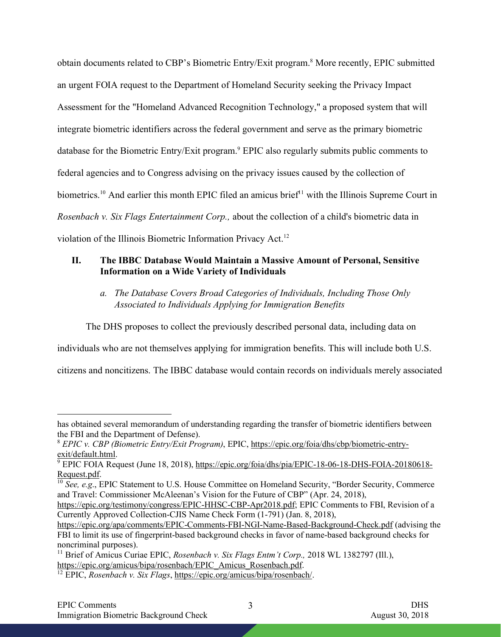obtain documents related to CBP's Biometric Entry/Exit program.<sup>8</sup> More recently, EPIC submitted an urgent FOIA request to the Department of Homeland Security seeking the Privacy Impact Assessment for the "Homeland Advanced Recognition Technology," a proposed system that will integrate biometric identifiers across the federal government and serve as the primary biometric database for the Biometric Entry/Exit program. <sup>9</sup> EPIC also regularly submits public comments to federal agencies and to Congress advising on the privacy issues caused by the collection of biometrics.<sup>10</sup> And earlier this month EPIC filed an amicus brief<sup>11</sup> with the Illinois Supreme Court in *Rosenbach v. Six Flags Entertainment Corp.,* about the collection of a child's biometric data in violation of the Illinois Biometric Information Privacy Act.<sup>12</sup>

# **II. The IBBC Database Would Maintain a Massive Amount of Personal, Sensitive Information on a Wide Variety of Individuals**

*a. The Database Covers Broad Categories of Individuals, Including Those Only Associated to Individuals Applying for Immigration Benefits*

The DHS proposes to collect the previously described personal data, including data on

individuals who are not themselves applying for immigration benefits. This will include both U.S.

citizens and noncitizens. The IBBC database would contain records on individuals merely associated

 $\overline{a}$ 

has obtained several memorandum of understanding regarding the transfer of biometric identifiers between the FBI and the Department of Defense).

<sup>8</sup> *EPIC v. CBP (Biometric Entry/Exit Program)*, EPIC, https://epic.org/foia/dhs/cbp/biometric-entryexit/default.html.

<sup>&</sup>lt;sup>9</sup> EPIC FOIA Request (June 18, 2018), https://epic.org/foia/dhs/pia/EPIC-18-06-18-DHS-FOIA-20180618-Request.pdf.

<sup>&</sup>lt;sup>10</sup> *See, e.g.*, EPIC Statement to U.S. House Committee on Homeland Security, "Border Security, Commerce" and Travel: Commissioner McAleenan's Vision for the Future of CBP" (Apr. 24, 2018),

https://epic.org/testimony/congress/EPIC-HHSC-CBP-Apr2018.pdf; EPIC Comments to FBI, Revision of a Currently Approved Collection-CJIS Name Check Form (1-791) (Jan. 8, 2018),

https://epic.org/apa/comments/EPIC-Comments-FBI-NGI-Name-Based-Background-Check.pdf (advising the FBI to limit its use of fingerprint-based background checks in favor of name-based background checks for noncriminal purposes).

<sup>&</sup>lt;sup>11</sup> Brief of Amicus Curiae EPIC, *Rosenbach v. Six Flags Entm't Corp.*, 2018 WL 1382797 (Ill.), https://epic.org/amicus/bipa/rosenbach/EPIC\_Amicus\_Rosenbach.pdf.

<sup>12</sup> EPIC, *Rosenbach v. Six Flags*, https://epic.org/amicus/bipa/rosenbach/.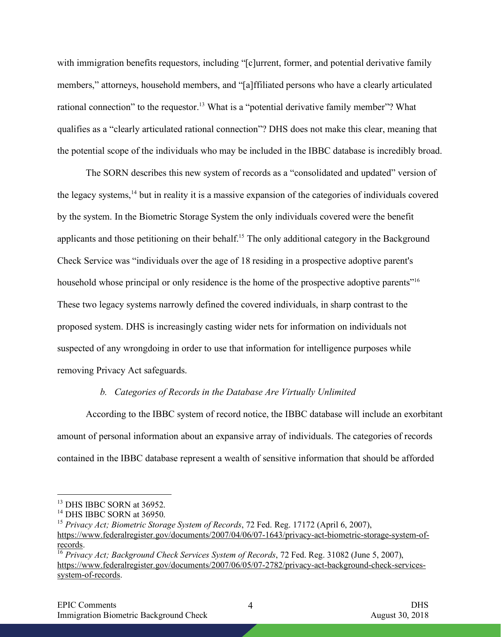with immigration benefits requestors, including "[c]urrent, former, and potential derivative family members," attorneys, household members, and "[a]ffiliated persons who have a clearly articulated rational connection" to the requestor.<sup>13</sup> What is a "potential derivative family member"? What qualifies as a "clearly articulated rational connection"? DHS does not make this clear, meaning that the potential scope of the individuals who may be included in the IBBC database is incredibly broad.

The SORN describes this new system of records as a "consolidated and updated" version of the legacy systems,14 but in reality it is a massive expansion of the categories of individuals covered by the system. In the Biometric Storage System the only individuals covered were the benefit applicants and those petitioning on their behalf.<sup>15</sup> The only additional category in the Background Check Service was "individuals over the age of 18 residing in a prospective adoptive parent's household whose principal or only residence is the home of the prospective adoptive parents<sup>"16</sup> These two legacy systems narrowly defined the covered individuals, in sharp contrast to the proposed system. DHS is increasingly casting wider nets for information on individuals not suspected of any wrongdoing in order to use that information for intelligence purposes while removing Privacy Act safeguards.

#### *b. Categories of Records in the Database Are Virtually Unlimited*

According to the IBBC system of record notice, the IBBC database will include an exorbitant amount of personal information about an expansive array of individuals. The categories of records contained in the IBBC database represent a wealth of sensitive information that should be afforded

 <sup>13</sup> DHS IBBC SORN at 36952.

<sup>14</sup> DHS IBBC SORN at 36950.

<sup>15</sup> *Privacy Act; Biometric Storage System of Records*, 72 Fed. Reg. 17172 (April 6, 2007), https://www.federalregister.gov/documents/2007/04/06/07-1643/privacy-act-biometric-storage-system-ofrecords.

<sup>16</sup> *Privacy Act; Background Check Services System of Records*, 72 Fed. Reg. 31082 (June 5, 2007), https://www.federalregister.gov/documents/2007/06/05/07-2782/privacy-act-background-check-servicessystem-of-records.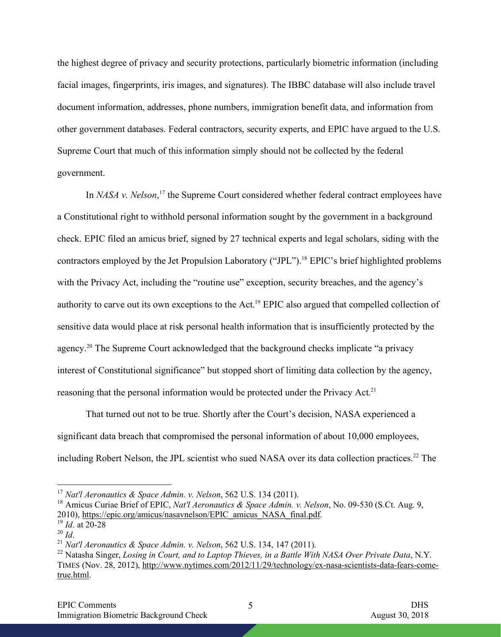the highest degree of privacy and security protections, particularly biometric information (including facial images, fingerprints, iris images, and signatures). The IBBC database will also include travel document information, addresses, phone numbers, immigration benefit data, and information from other government databases. Federal contractors, security experts, and EPIC have argued to the U.S. Supreme Court that much of this information simply should not be collected by the federal government.

In *NASA v. Nelson*,<sup>17</sup> the Supreme Court considered whether federal contract employees have a Constitutional right to withhold personal information sought by the government in a background check. EPIC filed an amicus brief, signed by 27 technical experts and legal scholars, siding with the contractors employed by the Jet Propulsion Laboratory ("JPL").<sup>18</sup> EPIC's brief highlighted problems with the Privacy Act, including the "routine use" exception, security breaches, and the agency's authority to carve out its own exceptions to the Act.<sup>19</sup> EPIC also argued that compelled collection of sensitive data would place at risk personal health information that is insufficiently protected by the agency.20 The Supreme Court acknowledged that the background checks implicate "a privacy interest of Constitutional significance" but stopped short of limiting data collection by the agency, reasoning that the personal information would be protected under the Privacy Act.<sup>21</sup>

That turned out not to be true. Shortly after the Court's decision, NASA experienced a significant data breach that compromised the personal information of about 10,000 employees, including Robert Nelson, the JPL scientist who sued NASA over its data collection practices.<sup>22</sup> The

 <sup>17</sup> *Nat'l Aeronautics & Space Admin. v. Nelson*, 562 U.S. 134 (2011).

<sup>18</sup> Amicus Curiae Brief of EPIC, *Nat'l Aeronautics & Space Admin. v. Nelson*, No. 09-530 (S.Ct. Aug. 9, 2010), https://epic.org/amicus/nasavnelson/EPIC\_amicus\_NASA\_final.pdf. 19 *Id*. at 20-28

<sup>&</sup>lt;sup>21</sup> *Nat'l Aeronautics & Space Admin. v. Nelson*, 562 U.S. 134, 147 (2011).

<sup>&</sup>lt;sup>22</sup> Natasha Singer, *Losing in Court, and to Laptop Thieves, in a Battle With NASA Over Private Data*, N.Y. TIMES (Nov. 28, 2012), http://www.nytimes.com/2012/11/29/technology/ex-nasa-scientists-data-fears-cometrue.html.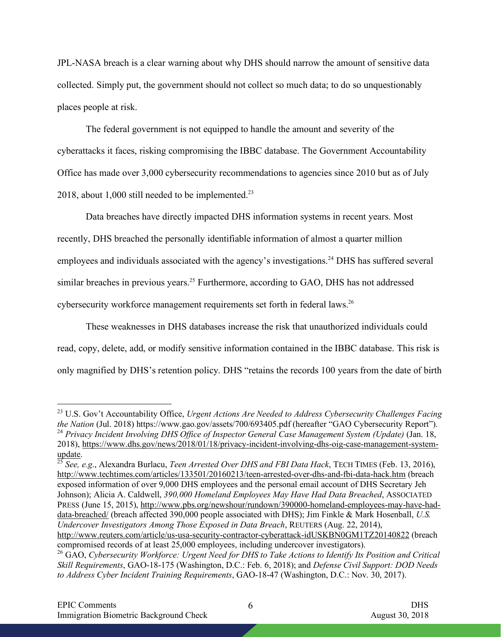JPL-NASA breach is a clear warning about why DHS should narrow the amount of sensitive data collected. Simply put, the government should not collect so much data; to do so unquestionably places people at risk.

The federal government is not equipped to handle the amount and severity of the cyberattacks it faces, risking compromising the IBBC database. The Government Accountability Office has made over 3,000 cybersecurity recommendations to agencies since 2010 but as of July 2018, about 1,000 still needed to be implemented. 23

Data breaches have directly impacted DHS information systems in recent years. Most recently, DHS breached the personally identifiable information of almost a quarter million employees and individuals associated with the agency's investigations.<sup>24</sup> DHS has suffered several similar breaches in previous years.<sup>25</sup> Furthermore, according to GAO, DHS has not addressed cybersecurity workforce management requirements set forth in federal laws.<sup>26</sup>

These weaknesses in DHS databases increase the risk that unauthorized individuals could read, copy, delete, add, or modify sensitive information contained in the IBBC database. This risk is only magnified by DHS's retention policy. DHS "retains the records 100 years from the date of birth

<sup>25</sup> *See, e.g*., Alexandra Burlacu, *Teen Arrested Over DHS and FBI Data Hack*, TECH TIMES (Feb. 13, 2016), http://www.techtimes.com/articles/133501/20160213/teen-arrested-over-dhs-and-fbi-data-hack.htm (breach exposed information of over 9,000 DHS employees and the personal email account of DHS Secretary Jeh Johnson); Alicia A. Caldwell, *390,000 Homeland Employees May Have Had Data Breached*, ASSOCIATED PRESS (June 15, 2015), http://www.pbs.org/newshour/rundown/390000-homeland-employees-may-have-haddata-breached/ (breach affected 390,000 people associated with DHS); Jim Finkle & Mark Hosenball, *U.S. Undercover Investigators Among Those Exposed in Data Breach*, REUTERS (Aug. 22, 2014), http://www.reuters.com/article/us-usa-security-contractor-cyberattack-idUSKBN0GM1TZ20140822 (breach

 <sup>23</sup> U.S. Gov't Accountability Office, *Urgent Actions Are Needed to Address Cybersecurity Challenges Facing the Nation* (Jul. 2018) https://www.gao.gov/assets/700/693405.pdf (hereafter "GAO Cybersecurity Report"). <sup>24</sup> *Privacy Incident Involving DHS Office of Inspector General Case Management System (Update)* (Jan. 18, 2018), https://www.dhs.gov/news/2018/01/18/privacy-incident-involving-dhs-oig-case-management-systemupdate.

compromised records of at least 25,000 employees, including undercover investigators). <sup>26</sup> GAO, *Cybersecurity Workforce: Urgent Need for DHS to Take Actions to Identify Its Position and Critical Skill Requirements*, GAO-18-175 (Washington, D.C.: Feb. 6, 2018); and *Defense Civil Support: DOD Needs to Address Cyber Incident Training Requirements*, GAO-18-47 (Washington, D.C.: Nov. 30, 2017).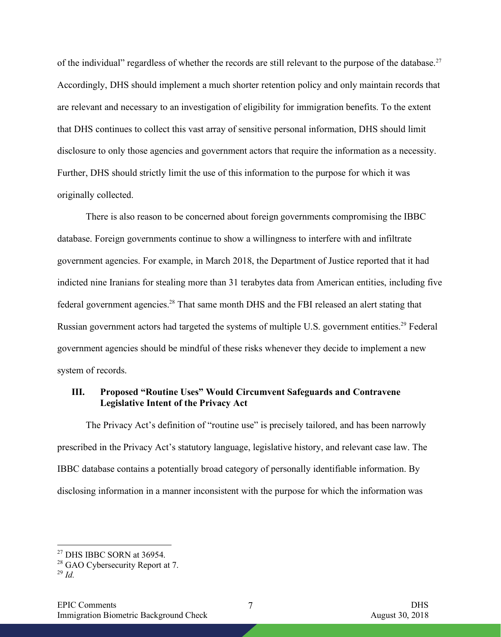of the individual" regardless of whether the records are still relevant to the purpose of the database.<sup>27</sup> Accordingly, DHS should implement a much shorter retention policy and only maintain records that are relevant and necessary to an investigation of eligibility for immigration benefits. To the extent that DHS continues to collect this vast array of sensitive personal information, DHS should limit disclosure to only those agencies and government actors that require the information as a necessity. Further, DHS should strictly limit the use of this information to the purpose for which it was originally collected.

There is also reason to be concerned about foreign governments compromising the IBBC database. Foreign governments continue to show a willingness to interfere with and infiltrate government agencies. For example, in March 2018, the Department of Justice reported that it had indicted nine Iranians for stealing more than 31 terabytes data from American entities, including five federal government agencies.<sup>28</sup> That same month DHS and the FBI released an alert stating that Russian government actors had targeted the systems of multiple U.S. government entities.<sup>29</sup> Federal government agencies should be mindful of these risks whenever they decide to implement a new system of records.

# **III. Proposed "Routine Uses" Would Circumvent Safeguards and Contravene Legislative Intent of the Privacy Act**

The Privacy Act's definition of "routine use" is precisely tailored, and has been narrowly prescribed in the Privacy Act's statutory language, legislative history, and relevant case law. The IBBC database contains a potentially broad category of personally identifiable information. By disclosing information in a manner inconsistent with the purpose for which the information was

 <sup>27</sup> DHS IBBC SORN at 36954.

<sup>&</sup>lt;sup>28</sup> GAO Cybersecurity Report at 7.

<sup>29</sup> *Id.*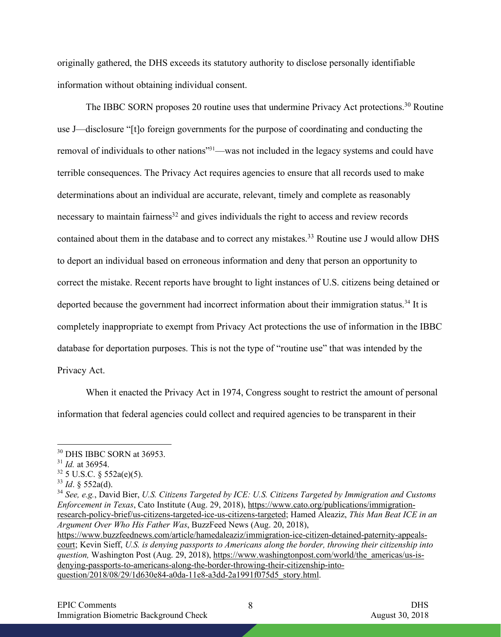originally gathered, the DHS exceeds its statutory authority to disclose personally identifiable information without obtaining individual consent.

The IBBC SORN proposes 20 routine uses that undermine Privacy Act protections.<sup>30</sup> Routine use J—disclosure "[t]o foreign governments for the purpose of coordinating and conducting the removal of individuals to other nations"31—was not included in the legacy systems and could have terrible consequences. The Privacy Act requires agencies to ensure that all records used to make determinations about an individual are accurate, relevant, timely and complete as reasonably necessary to maintain fairness<sup>32</sup> and gives individuals the right to access and review records contained about them in the database and to correct any mistakes. <sup>33</sup> Routine use J would allow DHS to deport an individual based on erroneous information and deny that person an opportunity to correct the mistake. Recent reports have brought to light instances of U.S. citizens being detained or deported because the government had incorrect information about their immigration status.<sup>34</sup> It is completely inappropriate to exempt from Privacy Act protections the use of information in the IBBC database for deportation purposes. This is not the type of "routine use" that was intended by the Privacy Act.

When it enacted the Privacy Act in 1974, Congress sought to restrict the amount of personal information that federal agencies could collect and required agencies to be transparent in their

<sup>34</sup> *See, e.g.*, David Bier, *U.S. Citizens Targeted by ICE: U.S. Citizens Targeted by Immigration and Customs Enforcement in Texas*, Cato Institute (Aug. 29, 2018), https://www.cato.org/publications/immigrationresearch-policy-brief/us-citizens-targeted-ice-us-citizens-targeted; Hamed Aleaziz, *This Man Beat ICE in an Argument Over Who His Father Was*, BuzzFeed News (Aug. 20, 2018), https://www.buzzfeednews.com/article/hamedaleaziz/immigration-ice-citizen-detained-paternity-appeals-

court; Kevin Sieff, *U.S. is denying passports to Americans along the border, throwing their citizenship into question,* Washington Post (Aug. 29, 2018), https://www.washingtonpost.com/world/the\_americas/us-isdenying-passports-to-americans-along-the-border-throwing-their-citizenship-intoquestion/2018/08/29/1d630e84-a0da-11e8-a3dd-2a1991f075d5\_story.html.

 <sup>30</sup> DHS IBBC SORN at 36953.

<sup>31</sup> *Id.* at 36954.

 $32\frac{\text{m}}{\text{32}}$  5 U.S.C. § 552a(e)(5).

<sup>33</sup> *Id*. § 552a(d).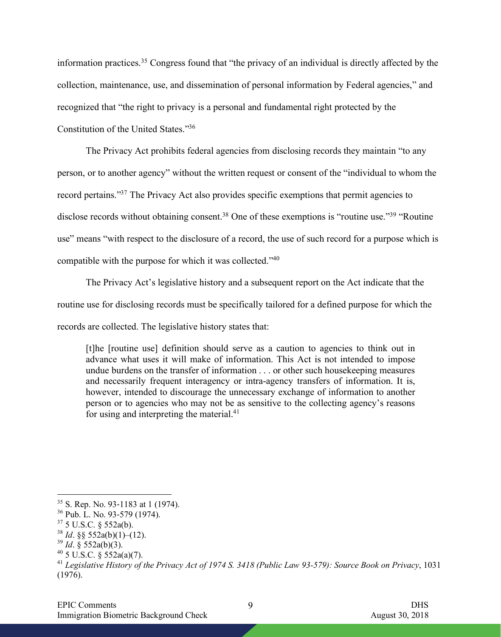information practices.35 Congress found that "the privacy of an individual is directly affected by the collection, maintenance, use, and dissemination of personal information by Federal agencies," and recognized that "the right to privacy is a personal and fundamental right protected by the Constitution of the United States."36

The Privacy Act prohibits federal agencies from disclosing records they maintain "to any person, or to another agency" without the written request or consent of the "individual to whom the record pertains."37 The Privacy Act also provides specific exemptions that permit agencies to disclose records without obtaining consent.<sup>38</sup> One of these exemptions is "routine use."<sup>39</sup> "Routine" use" means "with respect to the disclosure of a record, the use of such record for a purpose which is compatible with the purpose for which it was collected."40

The Privacy Act's legislative history and a subsequent report on the Act indicate that the routine use for disclosing records must be specifically tailored for a defined purpose for which the records are collected. The legislative history states that:

[t]he [routine use] definition should serve as a caution to agencies to think out in advance what uses it will make of information. This Act is not intended to impose undue burdens on the transfer of information . . . or other such housekeeping measures and necessarily frequent interagency or intra-agency transfers of information. It is, however, intended to discourage the unnecessary exchange of information to another person or to agencies who may not be as sensitive to the collecting agency's reasons for using and interpreting the material.<sup>41</sup>

 $35$  S. Rep. No. 93-1183 at 1 (1974).

<sup>36</sup> Pub. L. No. 93-579 (1974).

<sup>37</sup> 5 U.S.C. § 552a(b).

 $38$  *Id.* §§ 552a(b)(1)–(12).

<sup>39</sup> *Id*. § 552a(b)(3).

 $40$  5 U.S.C. § 552a(a)(7).

<sup>41</sup> *Legislative History of the Privacy Act of 1974 S. 3418 (Public Law 93-579): Source Book on Privacy*, 1031 (1976).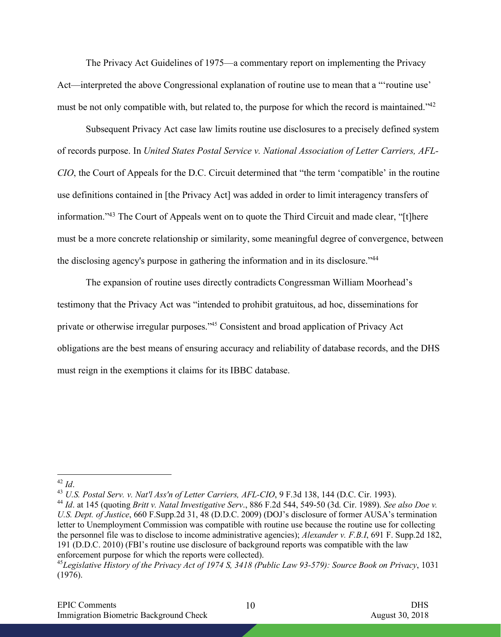The Privacy Act Guidelines of 1975—a commentary report on implementing the Privacy Act—interpreted the above Congressional explanation of routine use to mean that a "'routine use' must be not only compatible with, but related to, the purpose for which the record is maintained."<sup>42</sup>

Subsequent Privacy Act case law limits routine use disclosures to a precisely defined system of records purpose. In *United States Postal Service v. National Association of Letter Carriers, AFL-CIO*, the Court of Appeals for the D.C. Circuit determined that "the term 'compatible' in the routine use definitions contained in [the Privacy Act] was added in order to limit interagency transfers of information."43 The Court of Appeals went on to quote the Third Circuit and made clear, "[t]here must be a more concrete relationship or similarity, some meaningful degree of convergence, between the disclosing agency's purpose in gathering the information and in its disclosure."44

The expansion of routine uses directly contradicts Congressman William Moorhead's testimony that the Privacy Act was "intended to prohibit gratuitous, ad hoc, disseminations for private or otherwise irregular purposes."45 Consistent and broad application of Privacy Act obligations are the best means of ensuring accuracy and reliability of database records, and the DHS must reign in the exemptions it claims for its IBBC database.

<sup>43</sup> *U.S. Postal Serv. v. Nat'l Ass'n of Letter Carriers, AFL-CIO*, 9 F.3d 138, 144 (D.C. Cir. 1993).

 <sup>42</sup> *Id*.

<sup>44</sup> *Id*. at 145 (quoting *Britt v. Natal Investigative Serv*., 886 F.2d 544, 549-50 (3d. Cir. 1989). *See also Doe v. U.S. Dept. of Justice*, 660 F.Supp.2d 31, 48 (D.D.C. 2009) (DOJ's disclosure of former AUSA's termination letter to Unemployment Commission was compatible with routine use because the routine use for collecting the personnel file was to disclose to income administrative agencies); *Alexander v. F.B.I*, 691 F. Supp.2d 182, 191 (D.D.C. 2010) (FBI's routine use disclosure of background reports was compatible with the law enforcement purpose for which the reports were collected).

<sup>45</sup>*Legislative History of the Privacy Act of 1974 S, 3418 (Public Law 93-579): Source Book on Privacy*, 1031 (1976).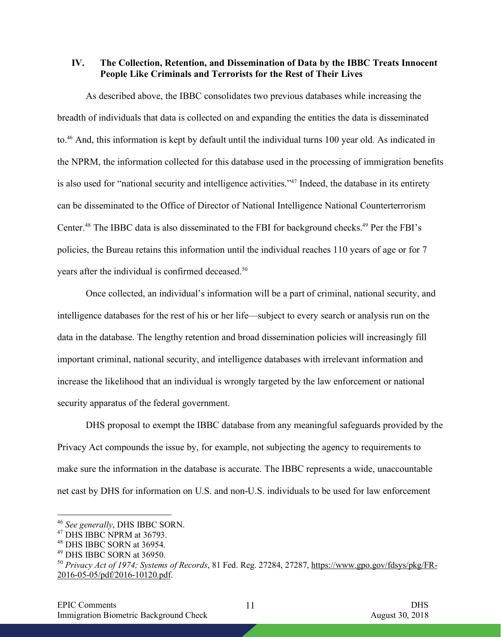**IV. The Collection, Retention, and Dissemination of Data by the IBBC Treats Innocent People Like Criminals and Terrorists for the Rest of Their Lives**

As described above, the IBBC consolidates two previous databases while increasing the breadth of individuals that data is collected on and expanding the entities the data is disseminated to.46 And, this information is kept by default until the individual turns 100 year old. As indicated in the NPRM, the information collected for this database used in the processing of immigration benefits is also used for "national security and intelligence activities."47 Indeed, the database in its entirety can be disseminated to the Office of Director of National Intelligence National Counterterrorism Center. <sup>48</sup> The IBBC data is also disseminated to the FBI for background checks. <sup>49</sup> Per the FBI's policies, the Bureau retains this information until the individual reaches 110 years of age or for 7 years after the individual is confirmed deceased.<sup>50</sup>

Once collected, an individual's information will be a part of criminal, national security, and intelligence databases for the rest of his or her life—subject to every search or analysis run on the data in the database. The lengthy retention and broad dissemination policies will increasingly fill important criminal, national security, and intelligence databases with irrelevant information and increase the likelihood that an individual is wrongly targeted by the law enforcement or national security apparatus of the federal government.

DHS proposal to exempt the IBBC database from any meaningful safeguards provided by the Privacy Act compounds the issue by, for example, not subjecting the agency to requirements to make sure the information in the database is accurate. The IBBC represents a wide, unaccountable net cast by DHS for information on U.S. and non-U.S. individuals to be used for law enforcement

11

 <sup>46</sup> *See generally*, DHS IBBC SORN.

<sup>&</sup>lt;sup>47</sup> DHS IBBC NPRM at 36793.

<sup>48</sup> DHS IBBC SORN at 36954.

<sup>49</sup> DHS IBBC SORN at 36950.

<sup>50</sup> *Privacy Act of 1974; Systems of Records*, 81 Fed. Reg. 27284, 27287, https://www.gpo.gov/fdsys/pkg/FR-2016-05-05/pdf/2016-10120.pdf.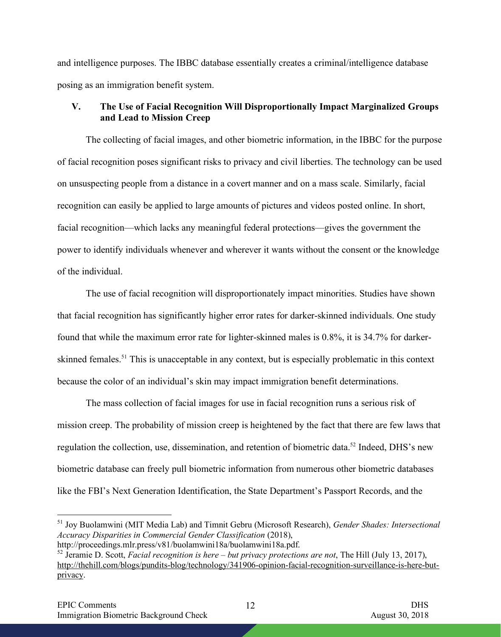and intelligence purposes. The IBBC database essentially creates a criminal/intelligence database posing as an immigration benefit system.

# **V. The Use of Facial Recognition Will Disproportionally Impact Marginalized Groups and Lead to Mission Creep**

The collecting of facial images, and other biometric information, in the IBBC for the purpose of facial recognition poses significant risks to privacy and civil liberties. The technology can be used on unsuspecting people from a distance in a covert manner and on a mass scale. Similarly, facial recognition can easily be applied to large amounts of pictures and videos posted online. In short, facial recognition—which lacks any meaningful federal protections—gives the government the power to identify individuals whenever and wherever it wants without the consent or the knowledge of the individual.

The use of facial recognition will disproportionately impact minorities. Studies have shown that facial recognition has significantly higher error rates for darker-skinned individuals. One study found that while the maximum error rate for lighter-skinned males is 0.8%, it is 34.7% for darkerskinned females.<sup>51</sup> This is unacceptable in any context, but is especially problematic in this context because the color of an individual's skin may impact immigration benefit determinations.

The mass collection of facial images for use in facial recognition runs a serious risk of mission creep. The probability of mission creep is heightened by the fact that there are few laws that regulation the collection, use, dissemination, and retention of biometric data.52 Indeed, DHS's new biometric database can freely pull biometric information from numerous other biometric databases like the FBI's Next Generation Identification, the State Department's Passport Records, and the

12

 <sup>51</sup> Joy Buolamwini (MIT Media Lab) and Timnit Gebru (Microsoft Research), *Gender Shades: Intersectional Accuracy Disparities in Commercial Gender Classification* (2018), http://proceedings.mlr.press/v81/buolamwini18a/buolamwini18a.pdf.

<sup>52</sup> Jeramie D. Scott, *Facial recognition is here – but privacy protections are not*, The Hill (July 13, 2017), http://thehill.com/blogs/pundits-blog/technology/341906-opinion-facial-recognition-surveillance-is-here-butprivacy.